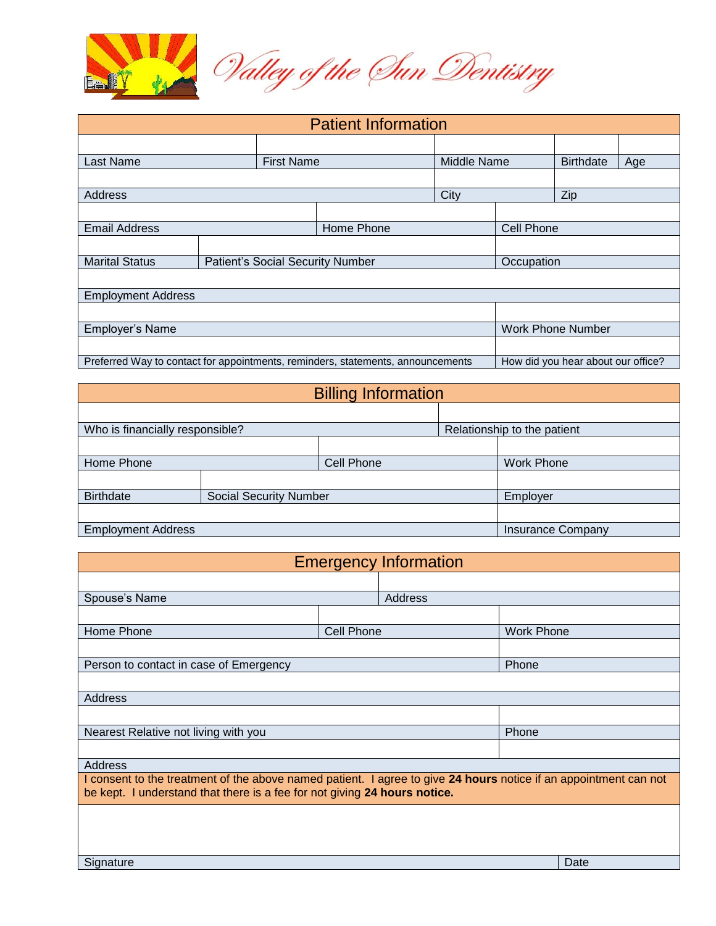

| <b>Patient Information</b>                                                      |                                  |  |            |                   |                          |                                    |     |
|---------------------------------------------------------------------------------|----------------------------------|--|------------|-------------------|--------------------------|------------------------------------|-----|
|                                                                                 |                                  |  |            |                   |                          |                                    |     |
| Last Name                                                                       | <b>First Name</b>                |  |            |                   | Middle Name              |                                    | Age |
|                                                                                 |                                  |  |            |                   |                          |                                    |     |
| <b>Address</b>                                                                  |                                  |  |            | City              |                          | Zip                                |     |
|                                                                                 |                                  |  |            |                   |                          |                                    |     |
| <b>Email Address</b>                                                            |                                  |  | Home Phone | <b>Cell Phone</b> |                          |                                    |     |
|                                                                                 |                                  |  |            |                   |                          |                                    |     |
| <b>Marital Status</b>                                                           | Patient's Social Security Number |  |            |                   | Occupation               |                                    |     |
|                                                                                 |                                  |  |            |                   |                          |                                    |     |
| <b>Employment Address</b>                                                       |                                  |  |            |                   |                          |                                    |     |
|                                                                                 |                                  |  |            |                   |                          |                                    |     |
| Employer's Name                                                                 |                                  |  |            |                   | <b>Work Phone Number</b> |                                    |     |
|                                                                                 |                                  |  |            |                   |                          |                                    |     |
| Preferred Way to contact for appointments, reminders, statements, announcements |                                  |  |            |                   |                          | How did you hear about our office? |     |

| <b>Billing Information</b>                 |                          |                             |  |                   |  |  |
|--------------------------------------------|--------------------------|-----------------------------|--|-------------------|--|--|
|                                            |                          |                             |  |                   |  |  |
| Who is financially responsible?            |                          | Relationship to the patient |  |                   |  |  |
|                                            |                          |                             |  |                   |  |  |
| Home Phone                                 |                          | <b>Cell Phone</b>           |  | <b>Work Phone</b> |  |  |
|                                            |                          |                             |  |                   |  |  |
| Birthdate<br><b>Social Security Number</b> |                          |                             |  | Employer          |  |  |
|                                            |                          |                             |  |                   |  |  |
| <b>Employment Address</b>                  | <b>Insurance Company</b> |                             |  |                   |  |  |

| <b>Emergency Information</b>                                                                                                                                                                  |                   |         |                   |      |  |  |  |
|-----------------------------------------------------------------------------------------------------------------------------------------------------------------------------------------------|-------------------|---------|-------------------|------|--|--|--|
|                                                                                                                                                                                               |                   |         |                   |      |  |  |  |
| Spouse's Name                                                                                                                                                                                 |                   | Address |                   |      |  |  |  |
|                                                                                                                                                                                               |                   |         |                   |      |  |  |  |
| Home Phone                                                                                                                                                                                    | <b>Cell Phone</b> |         | <b>Work Phone</b> |      |  |  |  |
|                                                                                                                                                                                               |                   |         |                   |      |  |  |  |
| Person to contact in case of Emergency                                                                                                                                                        |                   |         | Phone             |      |  |  |  |
|                                                                                                                                                                                               |                   |         |                   |      |  |  |  |
| Address                                                                                                                                                                                       |                   |         |                   |      |  |  |  |
|                                                                                                                                                                                               |                   |         |                   |      |  |  |  |
| Nearest Relative not living with you                                                                                                                                                          |                   | Phone   |                   |      |  |  |  |
|                                                                                                                                                                                               |                   |         |                   |      |  |  |  |
| Address                                                                                                                                                                                       |                   |         |                   |      |  |  |  |
| I consent to the treatment of the above named patient. I agree to give 24 hours notice if an appointment can not<br>be kept. I understand that there is a fee for not giving 24 hours notice. |                   |         |                   |      |  |  |  |
|                                                                                                                                                                                               |                   |         |                   |      |  |  |  |
|                                                                                                                                                                                               |                   |         |                   |      |  |  |  |
|                                                                                                                                                                                               |                   |         |                   |      |  |  |  |
| Signature                                                                                                                                                                                     |                   |         |                   | Date |  |  |  |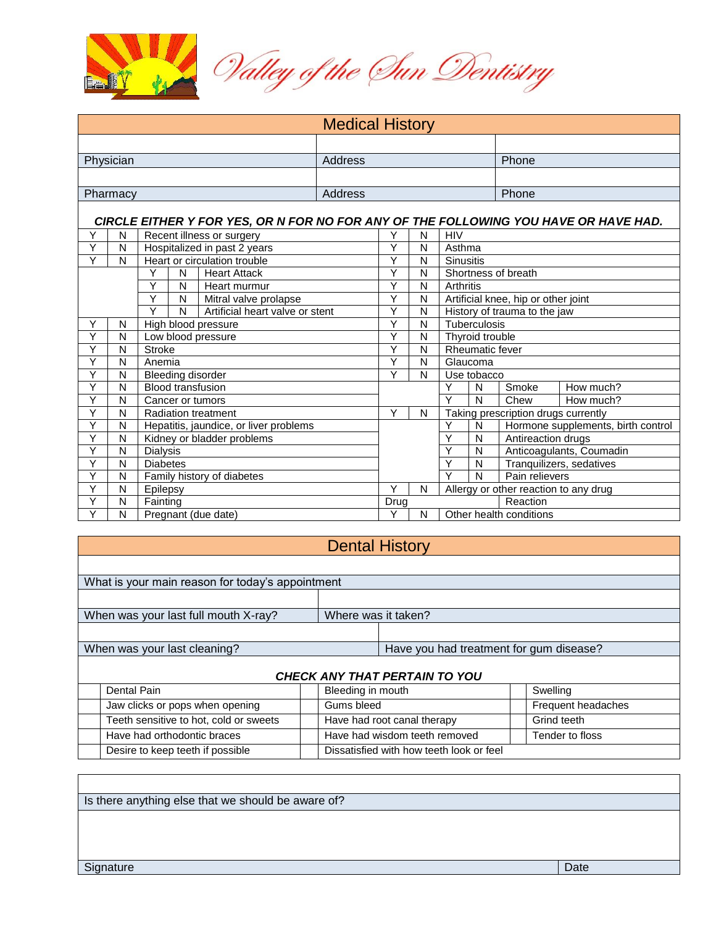

| <b>Medical History</b>                          |                                             |                                           |         |                                                                                     |         |                         |                                       |                                     |                                    |                                     |           |  |
|-------------------------------------------------|---------------------------------------------|-------------------------------------------|---------|-------------------------------------------------------------------------------------|---------|-------------------------|---------------------------------------|-------------------------------------|------------------------------------|-------------------------------------|-----------|--|
|                                                 |                                             |                                           |         |                                                                                     |         |                         |                                       |                                     |                                    |                                     |           |  |
| Physician                                       |                                             |                                           | Address |                                                                                     |         |                         |                                       | Phone                               |                                    |                                     |           |  |
|                                                 |                                             |                                           |         |                                                                                     |         |                         |                                       |                                     |                                    |                                     |           |  |
|                                                 | Pharmacy                                    |                                           |         |                                                                                     | Address |                         |                                       |                                     |                                    | Phone                               |           |  |
|                                                 |                                             |                                           |         |                                                                                     |         |                         |                                       |                                     |                                    |                                     |           |  |
|                                                 |                                             |                                           |         | CIRCLE EITHER Y FOR YES, OR N FOR NO FOR ANY OF THE FOLLOWING YOU HAVE OR HAVE HAD. |         |                         |                                       |                                     |                                    |                                     |           |  |
| Y                                               | N                                           |                                           |         | Recent illness or surgery                                                           |         | Υ                       | N                                     | <b>HIV</b>                          |                                    |                                     |           |  |
| Y                                               | N                                           |                                           |         | Hospitalized in past 2 years                                                        |         | Υ                       | N                                     | Asthma                              |                                    |                                     |           |  |
| Ÿ                                               | N                                           |                                           |         | Heart or circulation trouble                                                        |         | Υ                       | N                                     | <b>Sinusitis</b>                    |                                    |                                     |           |  |
|                                                 |                                             | Υ                                         | N       | <b>Heart Attack</b>                                                                 |         | Υ                       | N                                     | Shortness of breath                 |                                    |                                     |           |  |
|                                                 |                                             | Υ                                         | N       | Heart murmur                                                                        |         | Υ                       | N                                     | Arthritis                           |                                    |                                     |           |  |
|                                                 |                                             | Y<br>N<br>Mitral valve prolapse           |         |                                                                                     |         | Y                       | N                                     | Artificial knee, hip or other joint |                                    |                                     |           |  |
|                                                 |                                             | Υ<br>N<br>Artificial heart valve or stent |         |                                                                                     |         | Y                       | N                                     |                                     | History of trauma to the jaw       |                                     |           |  |
| Y                                               | N                                           |                                           |         | High blood pressure                                                                 |         | Υ                       | N                                     |                                     | Tuberculosis                       |                                     |           |  |
| Y<br>N<br>Low blood pressure                    |                                             |                                           |         | Y                                                                                   | N       |                         | Thyroid trouble                       |                                     |                                    |                                     |           |  |
| Y<br>N<br><b>Stroke</b>                         |                                             |                                           |         | Y                                                                                   | N       |                         | <b>Rheumatic fever</b>                |                                     |                                    |                                     |           |  |
| Y<br>N<br>Anemia                                |                                             |                                           |         | Y                                                                                   | N       | Glaucoma                |                                       |                                     |                                    |                                     |           |  |
| Y                                               | N<br><b>Bleeding disorder</b>               |                                           |         |                                                                                     | Υ       | N                       |                                       | Use tobacco                         |                                    |                                     |           |  |
| Y                                               | <b>Blood transfusion</b><br>N               |                                           |         |                                                                                     |         |                         | Y                                     | N                                   | Smoke                              | How much?                           |           |  |
| Ÿ                                               | N                                           | Cancer or tumors                          |         |                                                                                     |         |                         |                                       | Ÿ                                   | N                                  | Chew                                | How much? |  |
| Υ                                               | N                                           | <b>Radiation treatment</b>                |         |                                                                                     |         | Y                       | N                                     |                                     |                                    | Taking prescription drugs currently |           |  |
| Y                                               | Hepatitis, jaundice, or liver problems<br>N |                                           |         |                                                                                     |         |                         | Υ                                     | N                                   | Hormone supplements, birth control |                                     |           |  |
| Y<br>N<br>Kidney or bladder problems            |                                             |                                           |         |                                                                                     |         | Y                       | N<br>Antireaction drugs               |                                     |                                    |                                     |           |  |
| Y<br>$\overline{\mathsf{N}}$<br><b>Dialysis</b> |                                             |                                           |         |                                                                                     |         | Υ                       | $\overline{\mathsf{N}}$               |                                     | Anticoagulants, Coumadin           |                                     |           |  |
| Y<br>N<br><b>Diabetes</b>                       |                                             |                                           |         |                                                                                     |         | Y                       | Tranquilizers, sedatives<br>N         |                                     |                                    |                                     |           |  |
| Y<br>N<br>Family history of diabetes            |                                             |                                           |         |                                                                                     |         | $\overline{\mathsf{Y}}$ | N<br>Pain relievers                   |                                     |                                    |                                     |           |  |
| Υ<br>N<br>Epilepsy                              |                                             |                                           |         |                                                                                     | Y       | N                       | Allergy or other reaction to any drug |                                     |                                    |                                     |           |  |
| Y                                               | N                                           | Fainting                                  |         |                                                                                     | Drug    |                         |                                       | Reaction                            |                                    |                                     |           |  |
| Ÿ                                               | N                                           | Pregnant (due date)                       |         |                                                                                     |         | Ÿ                       | N                                     |                                     | Other health conditions            |                                     |           |  |

| <b>Dental History</b>                            |                   |                                          |                    |  |  |  |  |  |
|--------------------------------------------------|-------------------|------------------------------------------|--------------------|--|--|--|--|--|
|                                                  |                   |                                          |                    |  |  |  |  |  |
| What is your main reason for today's appointment |                   |                                          |                    |  |  |  |  |  |
|                                                  |                   |                                          |                    |  |  |  |  |  |
| When was your last full mouth X-ray?             |                   | Where was it taken?                      |                    |  |  |  |  |  |
|                                                  |                   |                                          |                    |  |  |  |  |  |
| When was your last cleaning?                     |                   | Have you had treatment for gum disease?  |                    |  |  |  |  |  |
| <b>CHECK ANY THAT PERTAIN TO YOU</b>             |                   |                                          |                    |  |  |  |  |  |
| Dental Pain                                      | Bleeding in mouth |                                          | Swelling           |  |  |  |  |  |
| Jaw clicks or pops when opening                  | Gums bleed        |                                          | Frequent headaches |  |  |  |  |  |
| Teeth sensitive to hot, cold or sweets           |                   | Have had root canal therapy              | Grind teeth        |  |  |  |  |  |
| Have had orthodontic braces                      |                   | Have had wisdom teeth removed            | Tender to floss    |  |  |  |  |  |
| Desire to keep teeth if possible                 |                   | Dissatisfied with how teeth look or feel |                    |  |  |  |  |  |

Is there anything else that we should be aware of?

Signature Date Date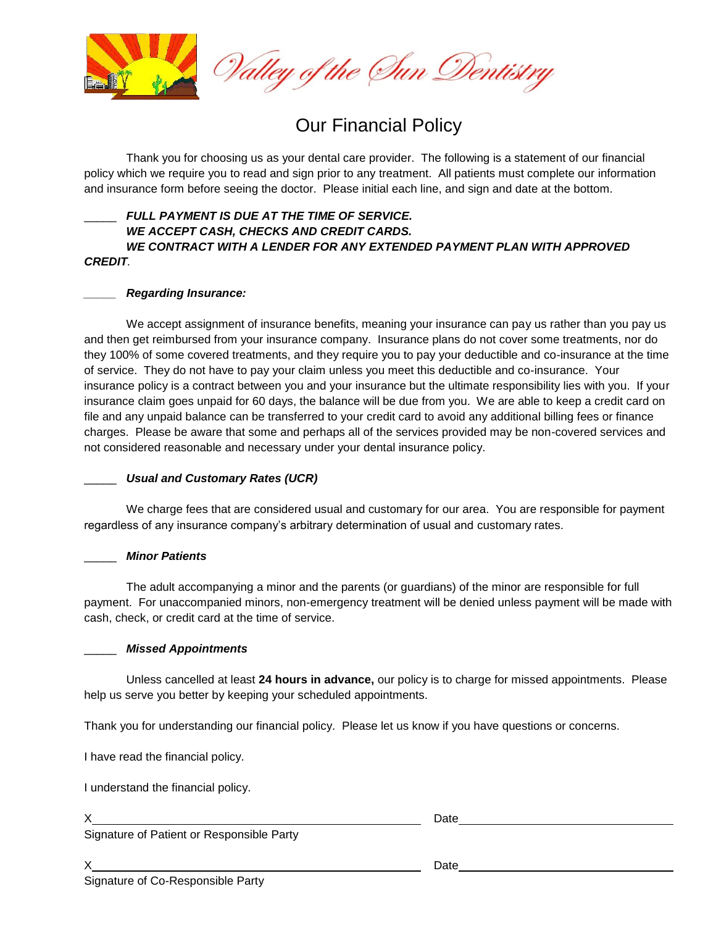

# Our Financial Policy

Thank you for choosing us as your dental care provider. The following is a statement of our financial policy which we require you to read and sign prior to any treatment. All patients must complete our information and insurance form before seeing the doctor. Please initial each line, and sign and date at the bottom.

# FULL PAYMENT IS DUE AT THE TIME OF SERVICE. *WE ACCEPT CASH, CHECKS AND CREDIT CARDS. WE CONTRACT WITH A LENDER FOR ANY EXTENDED PAYMENT PLAN WITH APPROVED CREDIT.*

# *\_\_\_\_\_ Regarding Insurance:*

We accept assignment of insurance benefits, meaning your insurance can pay us rather than you pay us and then get reimbursed from your insurance company. Insurance plans do not cover some treatments, nor do they 100% of some covered treatments, and they require you to pay your deductible and co-insurance at the time of service. They do not have to pay your claim unless you meet this deductible and co-insurance. Your insurance policy is a contract between you and your insurance but the ultimate responsibility lies with you. If your insurance claim goes unpaid for 60 days, the balance will be due from you. We are able to keep a credit card on file and any unpaid balance can be transferred to your credit card to avoid any additional billing fees or finance charges. Please be aware that some and perhaps all of the services provided may be non-covered services and not considered reasonable and necessary under your dental insurance policy.

# \_\_\_\_\_ *Usual and Customary Rates (UCR)*

We charge fees that are considered usual and customary for our area. You are responsible for payment regardless of any insurance company's arbitrary determination of usual and customary rates.

# \_\_\_\_\_ *Minor Patients*

The adult accompanying a minor and the parents (or guardians) of the minor are responsible for full payment. For unaccompanied minors, non-emergency treatment will be denied unless payment will be made with cash, check, or credit card at the time of service.

## \_\_\_\_\_ *Missed Appointments*

Unless cancelled at least **24 hours in advance,** our policy is to charge for missed appointments. Please help us serve you better by keeping your scheduled appointments.

Thank you for understanding our financial policy. Please let us know if you have questions or concerns.

I have read the financial policy.

I understand the financial policy.

X<sub>1</sub> Date

Signature of Patient or Responsible Party

X Date

Signature of Co-Responsible Party